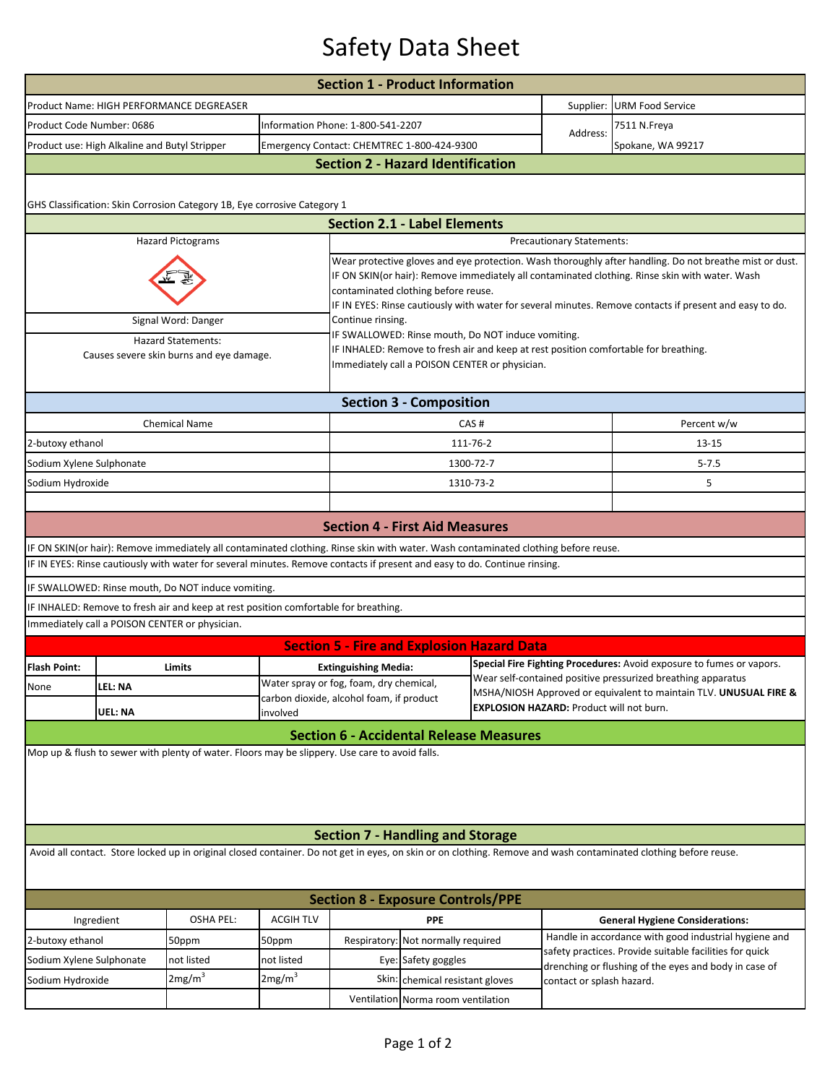## Safety Data Sheet

|                                                                       |                                                                        |                                                                                                                                    |                                                                                                                                                                                                                                                                                                                                                             | <b>Section 1 - Product Information</b>                                                                                                                                                       |                                   |                           |                                                                                                                                      |                                                                                                                                                                  |  |  |  |  |  |
|-----------------------------------------------------------------------|------------------------------------------------------------------------|------------------------------------------------------------------------------------------------------------------------------------|-------------------------------------------------------------------------------------------------------------------------------------------------------------------------------------------------------------------------------------------------------------------------------------------------------------------------------------------------------------|----------------------------------------------------------------------------------------------------------------------------------------------------------------------------------------------|-----------------------------------|---------------------------|--------------------------------------------------------------------------------------------------------------------------------------|------------------------------------------------------------------------------------------------------------------------------------------------------------------|--|--|--|--|--|
|                                                                       |                                                                        | Product Name: HIGH PERFORMANCE DEGREASER                                                                                           |                                                                                                                                                                                                                                                                                                                                                             |                                                                                                                                                                                              |                                   |                           | Supplier:                                                                                                                            | <b>URM Food Service</b>                                                                                                                                          |  |  |  |  |  |
|                                                                       | Product Code Number: 0686                                              |                                                                                                                                    |                                                                                                                                                                                                                                                                                                                                                             |                                                                                                                                                                                              | Information Phone: 1-800-541-2207 |                           |                                                                                                                                      | 7511 N.Freya                                                                                                                                                     |  |  |  |  |  |
|                                                                       | Product use: High Alkaline and Butyl Stripper                          |                                                                                                                                    | Emergency Contact: CHEMTREC 1-800-424-9300                                                                                                                                                                                                                                                                                                                  |                                                                                                                                                                                              |                                   | Address:                  | Spokane, WA 99217                                                                                                                    |                                                                                                                                                                  |  |  |  |  |  |
| <b>Section 2 - Hazard Identification</b>                              |                                                                        |                                                                                                                                    |                                                                                                                                                                                                                                                                                                                                                             |                                                                                                                                                                                              |                                   |                           |                                                                                                                                      |                                                                                                                                                                  |  |  |  |  |  |
|                                                                       |                                                                        | GHS Classification: Skin Corrosion Category 1B, Eye corrosive Category 1                                                           |                                                                                                                                                                                                                                                                                                                                                             |                                                                                                                                                                                              |                                   |                           |                                                                                                                                      |                                                                                                                                                                  |  |  |  |  |  |
|                                                                       |                                                                        |                                                                                                                                    |                                                                                                                                                                                                                                                                                                                                                             | <b>Section 2.1 - Label Elements</b>                                                                                                                                                          |                                   |                           |                                                                                                                                      |                                                                                                                                                                  |  |  |  |  |  |
|                                                                       | <b>Hazard Pictograms</b><br>Precautionary Statements:                  |                                                                                                                                    |                                                                                                                                                                                                                                                                                                                                                             |                                                                                                                                                                                              |                                   |                           |                                                                                                                                      |                                                                                                                                                                  |  |  |  |  |  |
|                                                                       |                                                                        |                                                                                                                                    | Wear protective gloves and eye protection. Wash thoroughly after handling. Do not breathe mist or dust.<br>IF ON SKIN(or hair): Remove immediately all contaminated clothing. Rinse skin with water. Wash<br>contaminated clothing before reuse.<br>IF IN EYES: Rinse cautiously with water for several minutes. Remove contacts if present and easy to do. |                                                                                                                                                                                              |                                   |                           |                                                                                                                                      |                                                                                                                                                                  |  |  |  |  |  |
|                                                                       |                                                                        | Signal Word: Danger                                                                                                                |                                                                                                                                                                                                                                                                                                                                                             | Continue rinsing.                                                                                                                                                                            |                                   |                           |                                                                                                                                      |                                                                                                                                                                  |  |  |  |  |  |
| <b>Hazard Statements:</b><br>Causes severe skin burns and eye damage. |                                                                        |                                                                                                                                    |                                                                                                                                                                                                                                                                                                                                                             | IF SWALLOWED: Rinse mouth, Do NOT induce vomiting.<br>IF INHALED: Remove to fresh air and keep at rest position comfortable for breathing.<br>Immediately call a POISON CENTER or physician. |                                   |                           |                                                                                                                                      |                                                                                                                                                                  |  |  |  |  |  |
|                                                                       |                                                                        |                                                                                                                                    |                                                                                                                                                                                                                                                                                                                                                             |                                                                                                                                                                                              | <b>Section 3 - Composition</b>    |                           |                                                                                                                                      |                                                                                                                                                                  |  |  |  |  |  |
|                                                                       |                                                                        | <b>Chemical Name</b>                                                                                                               |                                                                                                                                                                                                                                                                                                                                                             |                                                                                                                                                                                              |                                   | CAS#                      |                                                                                                                                      | Percent w/w                                                                                                                                                      |  |  |  |  |  |
| 2-butoxy ethanol                                                      |                                                                        |                                                                                                                                    |                                                                                                                                                                                                                                                                                                                                                             |                                                                                                                                                                                              |                                   | 111-76-2                  |                                                                                                                                      | $13 - 15$                                                                                                                                                        |  |  |  |  |  |
| Sodium Xylene Sulphonate                                              |                                                                        |                                                                                                                                    |                                                                                                                                                                                                                                                                                                                                                             |                                                                                                                                                                                              |                                   | 1300-72-7                 |                                                                                                                                      | $5 - 7.5$                                                                                                                                                        |  |  |  |  |  |
| Sodium Hydroxide                                                      |                                                                        |                                                                                                                                    |                                                                                                                                                                                                                                                                                                                                                             |                                                                                                                                                                                              |                                   | 1310-73-2                 |                                                                                                                                      | 5                                                                                                                                                                |  |  |  |  |  |
|                                                                       |                                                                        |                                                                                                                                    |                                                                                                                                                                                                                                                                                                                                                             |                                                                                                                                                                                              |                                   |                           |                                                                                                                                      |                                                                                                                                                                  |  |  |  |  |  |
|                                                                       |                                                                        |                                                                                                                                    |                                                                                                                                                                                                                                                                                                                                                             | <b>Section 4 - First Aid Measures</b>                                                                                                                                                        |                                   |                           |                                                                                                                                      |                                                                                                                                                                  |  |  |  |  |  |
|                                                                       |                                                                        | IF ON SKIN(or hair): Remove immediately all contaminated clothing. Rinse skin with water. Wash contaminated clothing before reuse. |                                                                                                                                                                                                                                                                                                                                                             |                                                                                                                                                                                              |                                   |                           |                                                                                                                                      |                                                                                                                                                                  |  |  |  |  |  |
|                                                                       |                                                                        | IF IN EYES: Rinse cautiously with water for several minutes. Remove contacts if present and easy to do. Continue rinsing.          |                                                                                                                                                                                                                                                                                                                                                             |                                                                                                                                                                                              |                                   |                           |                                                                                                                                      |                                                                                                                                                                  |  |  |  |  |  |
|                                                                       |                                                                        | IF SWALLOWED: Rinse mouth, Do NOT induce vomiting.                                                                                 |                                                                                                                                                                                                                                                                                                                                                             |                                                                                                                                                                                              |                                   |                           |                                                                                                                                      |                                                                                                                                                                  |  |  |  |  |  |
|                                                                       |                                                                        | IF INHALED: Remove to fresh air and keep at rest position comfortable for breathing.                                               |                                                                                                                                                                                                                                                                                                                                                             |                                                                                                                                                                                              |                                   |                           |                                                                                                                                      |                                                                                                                                                                  |  |  |  |  |  |
|                                                                       | Immediately call a POISON CENTER or physician.                         |                                                                                                                                    |                                                                                                                                                                                                                                                                                                                                                             |                                                                                                                                                                                              |                                   |                           |                                                                                                                                      |                                                                                                                                                                  |  |  |  |  |  |
|                                                                       |                                                                        |                                                                                                                                    |                                                                                                                                                                                                                                                                                                                                                             | <b>Section 5 - Fire and Explosion Hazard Data</b>                                                                                                                                            |                                   |                           |                                                                                                                                      |                                                                                                                                                                  |  |  |  |  |  |
| <b>Flash Point:</b>                                                   | Limits                                                                 |                                                                                                                                    |                                                                                                                                                                                                                                                                                                                                                             | <b>Extinguishing Media:</b>                                                                                                                                                                  |                                   |                           | Special Fire Fighting Procedures: Avoid exposure to fumes or vapors.<br>Wear self-contained positive pressurized breathing apparatus |                                                                                                                                                                  |  |  |  |  |  |
| None                                                                  | LEL: NA                                                                |                                                                                                                                    |                                                                                                                                                                                                                                                                                                                                                             | Water spray or fog, foam, dry chemical,<br>carbon dioxide, alcohol foam, if product                                                                                                          |                                   |                           | MSHA/NIOSH Approved or equivalent to maintain TLV. UNUSUAL FIRE &                                                                    |                                                                                                                                                                  |  |  |  |  |  |
|                                                                       | <b>EXPLOSION HAZARD: Product will not burn.</b><br>UEL: NA<br>involved |                                                                                                                                    |                                                                                                                                                                                                                                                                                                                                                             |                                                                                                                                                                                              |                                   |                           |                                                                                                                                      |                                                                                                                                                                  |  |  |  |  |  |
|                                                                       |                                                                        |                                                                                                                                    |                                                                                                                                                                                                                                                                                                                                                             | <b>Section 6 - Accidental Release Measures</b>                                                                                                                                               |                                   |                           |                                                                                                                                      |                                                                                                                                                                  |  |  |  |  |  |
|                                                                       |                                                                        | Mop up & flush to sewer with plenty of water. Floors may be slippery. Use care to avoid falls.                                     |                                                                                                                                                                                                                                                                                                                                                             |                                                                                                                                                                                              |                                   |                           |                                                                                                                                      |                                                                                                                                                                  |  |  |  |  |  |
|                                                                       |                                                                        |                                                                                                                                    |                                                                                                                                                                                                                                                                                                                                                             | <b>Section 7 - Handling and Storage</b>                                                                                                                                                      |                                   |                           |                                                                                                                                      |                                                                                                                                                                  |  |  |  |  |  |
|                                                                       |                                                                        |                                                                                                                                    |                                                                                                                                                                                                                                                                                                                                                             |                                                                                                                                                                                              |                                   |                           |                                                                                                                                      | Avoid all contact. Store locked up in original closed container. Do not get in eyes, on skin or on clothing. Remove and wash contaminated clothing before reuse. |  |  |  |  |  |
| <b>Section 8 - Exposure Controls/PPE</b>                              |                                                                        |                                                                                                                                    |                                                                                                                                                                                                                                                                                                                                                             |                                                                                                                                                                                              |                                   |                           |                                                                                                                                      |                                                                                                                                                                  |  |  |  |  |  |
| Ingredient                                                            |                                                                        | OSHA PEL:                                                                                                                          | <b>ACGIH TLV</b>                                                                                                                                                                                                                                                                                                                                            | <b>PPE</b>                                                                                                                                                                                   |                                   |                           |                                                                                                                                      | <b>General Hygiene Considerations:</b>                                                                                                                           |  |  |  |  |  |
| 2-butoxy ethanol                                                      |                                                                        | 50ppm                                                                                                                              | 50ppm                                                                                                                                                                                                                                                                                                                                                       | Respiratory: Not normally required                                                                                                                                                           |                                   |                           | Handle in accordance with good industrial hygiene and                                                                                |                                                                                                                                                                  |  |  |  |  |  |
| Sodium Xylene Sulphonate                                              |                                                                        | not listed                                                                                                                         | not listed                                                                                                                                                                                                                                                                                                                                                  | Eye: Safety goggles                                                                                                                                                                          |                                   |                           | safety practices. Provide suitable facilities for quick<br>drenching or flushing of the eyes and body in case of                     |                                                                                                                                                                  |  |  |  |  |  |
| Sodium Hydroxide                                                      |                                                                        | 2mg/m <sup>3</sup>                                                                                                                 | 2mg/m <sup>3</sup>                                                                                                                                                                                                                                                                                                                                          |                                                                                                                                                                                              | Skin: chemical resistant gloves   | contact or splash hazard. |                                                                                                                                      |                                                                                                                                                                  |  |  |  |  |  |
|                                                                       |                                                                        |                                                                                                                                    | Ventilation Norma room ventilation                                                                                                                                                                                                                                                                                                                          |                                                                                                                                                                                              |                                   |                           |                                                                                                                                      |                                                                                                                                                                  |  |  |  |  |  |